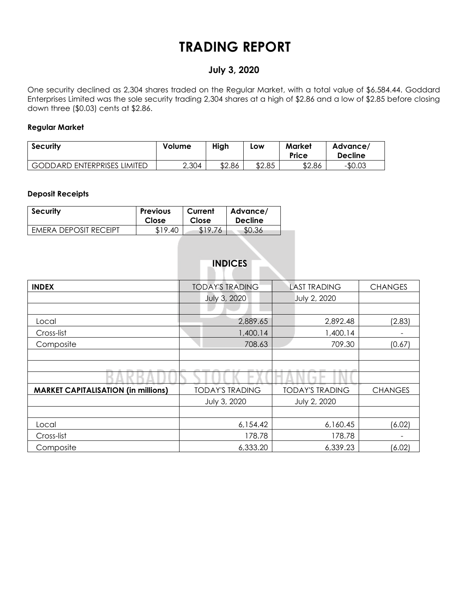# **TRADING REPORT**

### **July 3, 2020**

One security declined as 2,304 shares traded on the Regular Market, with a total value of \$6,584.44. Goddard Enterprises Limited was the sole security trading 2,304 shares at a high of \$2.86 and a low of \$2.85 before closing down three (\$0.03) cents at \$2.86.

#### **Regular Market**

| <b>Security</b>                    | Volume | High   | LOW    | <b>Market</b><br>Price | Advance/<br><b>Decline</b> |
|------------------------------------|--------|--------|--------|------------------------|----------------------------|
| <b>GODDARD ENTERPRISES LIMITED</b> | 2,304  | \$2.86 | \$2.85 | \$2.86                 | $-$0.03$                   |

#### **Deposit Receipts**

| <b>Security</b>              | <b>Previous</b> | Current | Advance/       |
|------------------------------|-----------------|---------|----------------|
|                              | Close           | Close   | <b>Decline</b> |
| <b>EMERA DEPOSIT RECEIPT</b> | \$19.40         | \$19.76 | \$0.36         |

|                                            | <b>INDICES</b>         |                        |                |
|--------------------------------------------|------------------------|------------------------|----------------|
| <b>INDEX</b>                               | <b>TODAY'S TRADING</b> | <b>CHANGES</b>         |                |
|                                            | July 3, 2020           | <b>July 2, 2020</b>    |                |
|                                            |                        |                        |                |
| Local                                      | 2,889.65               | 2,892.48               | (2.83)         |
| Cross-list                                 | 1,400.14               | 1,400.14               |                |
| Composite                                  | 708.63                 | 709.30                 | (0.67)         |
|                                            |                        |                        |                |
|                                            |                        |                        |                |
| <b>MARKET CAPITALISATION (in millions)</b> | <b>TODAY'S TRADING</b> | <b>TODAY'S TRADING</b> | <b>CHANGES</b> |
|                                            | July 3, 2020           | July 2, 2020           |                |
|                                            |                        |                        |                |
| Local                                      | 6,154.42               | 6,160.45               | (6.02)         |
| Cross-list                                 | 178.78                 | 178.78                 |                |
| Composite                                  | 6,333.20               | 6,339.23               | (6.02)         |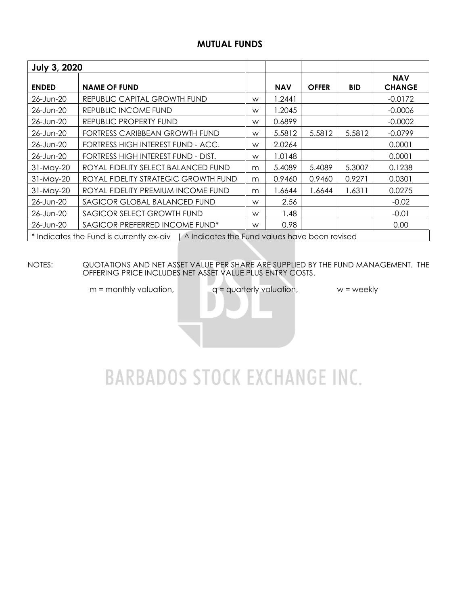### **MUTUAL FUNDS**

| <b>July 3, 2020</b>                 |                                                                                          |   |            |              |            |                             |
|-------------------------------------|------------------------------------------------------------------------------------------|---|------------|--------------|------------|-----------------------------|
| <b>NAME OF FUND</b><br><b>ENDED</b> |                                                                                          |   | <b>NAV</b> | <b>OFFER</b> | <b>BID</b> | <b>NAV</b><br><b>CHANGE</b> |
| 26-Jun-20                           | REPUBLIC CAPITAL GROWTH FUND                                                             | W | .2441      |              |            | $-0.0172$                   |
| 26-Jun-20                           | REPUBLIC INCOME FUND                                                                     | W | .2045      |              |            | $-0.0006$                   |
| 26-Jun-20                           | REPUBLIC PROPERTY FUND                                                                   | W | 0.6899     |              |            | $-0.0002$                   |
| 26-Jun-20                           | FORTRESS CARIBBEAN GROWTH FUND                                                           | W | 5.5812     | 5.5812       | 5.5812     | $-0.0799$                   |
| 26-Jun-20                           | FORTRESS HIGH INTEREST FUND - ACC.                                                       | W | 2.0264     |              |            | 0.0001                      |
| 26-Jun-20                           | FORTRESS HIGH INTEREST FUND - DIST.                                                      | W | 1.0148     |              |            | 0.0001                      |
| 31-May-20                           | ROYAL FIDELITY SELECT BALANCED FUND                                                      | m | 5.4089     | 5.4089       | 5.3007     | 0.1238                      |
| 31-May-20                           | ROYAL FIDELITY STRATEGIC GROWTH FUND                                                     | m | 0.9460     | 0.9460       | 0.9271     | 0.0301                      |
| 31-May-20                           | ROYAL FIDELITY PREMIUM INCOME FUND                                                       | m | .6644      | 1.6644       | 1.6311     | 0.0275                      |
| 26-Jun-20                           | SAGICOR GLOBAL BALANCED FUND                                                             | W | 2.56       |              |            | $-0.02$                     |
| 26-Jun-20                           | SAGICOR SELECT GROWTH FUND                                                               | W | 1.48       |              |            | $-0.01$                     |
| 26-Jun-20                           | SAGICOR PREFERRED INCOME FUND*                                                           | W | 0.98       |              |            | 0.00                        |
|                                     | * Indicates the Fund is currently ex-div   ^ Indicates the Fund values have been revised |   |            |              |            |                             |

NOTES: QUOTATIONS AND NET ASSET VALUE PER SHARE ARE SUPPLIED BY THE FUND MANAGEMENT. THE OFFERING PRICE INCLUDES NET ASSET VALUE PLUS ENTRY COSTS.

 $m =$  monthly valuation,  $q =$  quarterly valuation,  $w =$  weekly

# **BARBADOS STOCK EXCHANGE INC.**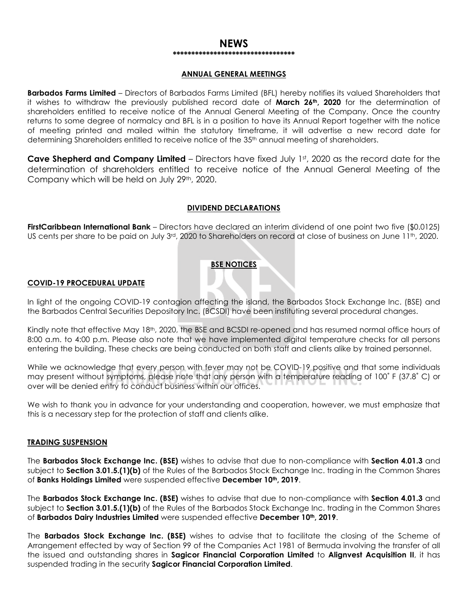#### **NEWS \*\*\*\*\*\*\*\*\*\*\*\*\*\*\*\*\*\*\*\*\*\*\*\*\*\*\*\*\*\*\*\*\***

#### **ANNUAL GENERAL MEETINGS**

**Barbados Farms Limited** – Directors of Barbados Farms Limited (BFL) hereby notifies its valued Shareholders that it wishes to withdraw the previously published record date of **March 26th, 2020** for the determination of shareholders entitled to receive notice of the Annual General Meeting of the Company. Once the country returns to some degree of normalcy and BFL is in a position to have its Annual Report together with the notice of meeting printed and mailed within the statutory timeframe, it will advertise a new record date for determining Shareholders entitled to receive notice of the 35<sup>th</sup> annual meeting of shareholders.

Cave Shepherd and Company Limited – Directors have fixed July 1st, 2020 as the record date for the determination of shareholders entitled to receive notice of the Annual General Meeting of the Company which will be held on July 29th, 2020.

#### **DIVIDEND DECLARATIONS**

**FirstCaribbean International Bank** – Directors have declared an interim dividend of one point two five (\$0.0125) US cents per share to be paid on July 3rd, 2020 to Shareholders on record at close of business on June 11th, 2020.

#### **BSE NOTICES**

#### **COVID-19 PROCEDURAL UPDATE**

In light of the ongoing COVID-19 contagion affecting the island, the Barbados Stock Exchange Inc. (BSE) and the Barbados Central Securities Depository Inc. (BCSDI) have been instituting several procedural changes.

Kindly note that effective May 18th, 2020, the BSE and BCSDI re-opened and has resumed normal office hours of 8:00 a.m. to 4:00 p.m. Please also note that we have implemented digital temperature checks for all persons entering the building. These checks are being conducted on both staff and clients alike by trained personnel.

While we acknowledge that every person with fever may not be COVID-19 positive and that some individuals may present without symptoms, please note that any person with a temperature reading of 100˚ F (37.8˚ C) or over will be denied entry to conduct business within our offices.

We wish to thank you in advance for your understanding and cooperation, however, we must emphasize that this is a necessary step for the protection of staff and clients alike.

#### **TRADING SUSPENSION**

The **Barbados Stock Exchange Inc. (BSE)** wishes to advise that due to non-compliance with **Section 4.01.3** and subject to **Section 3.01.5.(1)(b)** of the Rules of the Barbados Stock Exchange Inc. trading in the Common Shares of **Banks Holdings Limited** were suspended effective **December 10th, 2019**.

The **Barbados Stock Exchange Inc. (BSE)** wishes to advise that due to non-compliance with **Section 4.01.3** and subject to **Section 3.01.5.(1)(b)** of the Rules of the Barbados Stock Exchange Inc. trading in the Common Shares of **Barbados Dairy Industries Limited** were suspended effective **December 10th, 2019**.

The **Barbados Stock Exchange Inc. (BSE)** wishes to advise that to facilitate the closing of the Scheme of Arrangement effected by way of Section 99 of the Companies Act 1981 of Bermuda involving the transfer of all the issued and outstanding shares in **Sagicor Financial Corporation Limited** to **Alignvest Acquisition II**, it has suspended trading in the security **Sagicor Financial Corporation Limited**.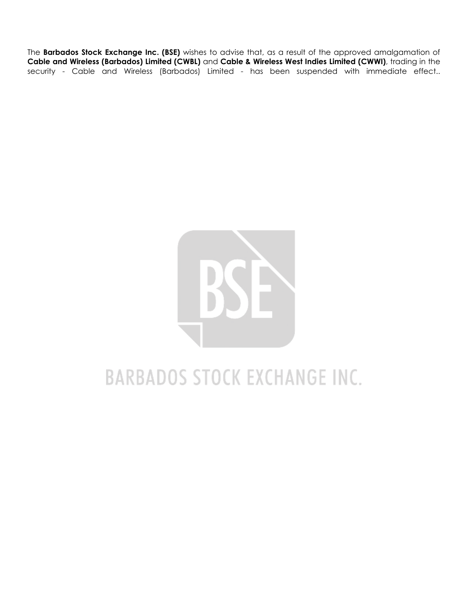The **Barbados Stock Exchange Inc. (BSE)** wishes to advise that, as a result of the approved amalgamation of **Cable and Wireless (Barbados) Limited (CWBL)** and **Cable & Wireless West Indies Limited (CWWI)**, trading in the security - Cable and Wireless (Barbados) Limited - has been suspended with immediate effect..



# **BARBADOS STOCK EXCHANGE INC.**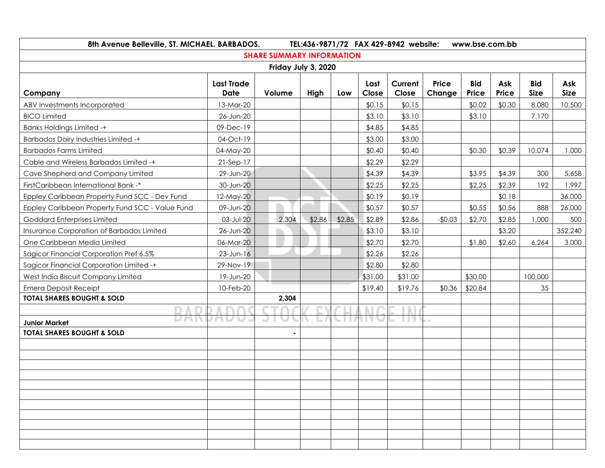|                                                 | 8th Avenue Belleville, ST. MICHAEL. BARBADOS.<br>TEL:436-9871/72 FAX 429-8942 website:<br>www.bse.com.bb |                                  |        |        |               |                  |                        |                     |              |                           |                    |
|-------------------------------------------------|----------------------------------------------------------------------------------------------------------|----------------------------------|--------|--------|---------------|------------------|------------------------|---------------------|--------------|---------------------------|--------------------|
|                                                 |                                                                                                          | <b>SHARE SUMMARY INFORMATION</b> |        |        |               |                  |                        |                     |              |                           |                    |
|                                                 |                                                                                                          | Friday July 3, 2020              |        |        |               |                  |                        |                     |              |                           |                    |
| Company                                         | <b>Last Trade</b><br>Date                                                                                | Volume                           | High   | Low    | Last<br>Close | Current<br>Close | <b>Price</b><br>Change | <b>Bid</b><br>Price | Ask<br>Price | <b>Bid</b><br><b>Size</b> | Ask<br><b>Size</b> |
| ABV Investments Incorporated                    | 13-Mar-20                                                                                                |                                  |        |        | \$0.15        | \$0.15           |                        | \$0.02              | \$0.30       | 8,080                     | 10,500             |
| <b>BICO Limited</b>                             | 26-Jun-20                                                                                                |                                  |        |        | \$3.10        | \$3.10           |                        | \$3.10              |              | 7,170                     |                    |
| <b>Banks Holdings Limited -+</b>                | 09-Dec-19                                                                                                |                                  |        |        | \$4.85        | \$4.85           |                        |                     |              |                           |                    |
| <b>Barbados Dairy Industries Limited -+</b>     | 04-Oct-19                                                                                                |                                  |        |        | \$3.00        | \$3.00           |                        |                     |              |                           |                    |
| <b>Barbados Farms Limited</b>                   | 04-May-20                                                                                                |                                  |        |        | \$0.40        | \$0.40           |                        | \$0.30              | \$0.39       | 10,074                    | 1,000              |
| Cable and Wireless Barbados Limited -+          | $21-Sep-17$                                                                                              |                                  |        |        | \$2.29        | \$2.29           |                        |                     |              |                           |                    |
| Cave Shepherd and Company Limited               | 29-Jun-20                                                                                                |                                  |        |        | \$4.39        | \$4.39           |                        | \$3.95              | \$4.39       | 300                       | 5,658              |
| FirstCaribbean International Bank -*            | 30-Jun-20                                                                                                |                                  |        |        | \$2.25        | \$2.25           |                        | \$2.25              | \$2.39       | 192                       | 1,997              |
| Eppley Caribbean Property Fund SCC - Dev Fund   | 12-May-20                                                                                                |                                  |        |        | \$0.19        | \$0.19           |                        |                     | \$0.18       |                           | 36,000             |
| Eppley Caribbean Property Fund SCC - Value Fund | 09-Jun-20                                                                                                |                                  |        |        | \$0.57        | \$0.57           |                        | \$0.55              | \$0.56       | 888                       | 26,000             |
| Goddard Enterprises Limited                     | 03-Jul-20                                                                                                | 2,304                            | \$2.86 | \$2.85 | \$2.89        | \$2.86           | $-$0.03$               | \$2.70              | \$2.85       | 1,000                     | 500                |
| Insurance Corporation of Barbados Limited       | 26-Jun-20                                                                                                |                                  |        |        | \$3.10        | \$3.10           |                        |                     | \$3.20       |                           | 352,240            |
| One Caribbean Media Limited                     | 06-Mar-20                                                                                                |                                  |        |        | \$2.70        | \$2.70           |                        | \$1.80              | \$2.60       | 6,264                     | 3,000              |
| Sagicor Financial Corporation Pref 6.5%         | $23$ -Jun-16                                                                                             |                                  |        |        | \$2.26        | \$2.26           |                        |                     |              |                           |                    |
| Sagicor Financial Corporation Limited -+        | 29-Nov-19                                                                                                |                                  |        |        | \$2.80        | \$2.80           |                        |                     |              |                           |                    |
| West India Biscuit Company Limited              | 19-Jun-20                                                                                                |                                  |        |        | \$31.00       | \$31.00          |                        | \$30.00             |              | 100,000                   |                    |
| <b>Emera Deposit Receipt</b>                    | 10-Feb-20                                                                                                |                                  |        |        | \$19.40       | \$19.76          | \$0.36                 | \$20.84             |              | 35                        |                    |
| <b>TOTAL SHARES BOUGHT &amp; SOLD</b>           |                                                                                                          | 2,304                            |        |        |               |                  |                        |                     |              |                           |                    |
|                                                 |                                                                                                          |                                  |        |        |               |                  |                        |                     |              |                           |                    |
| <b>Junior Market</b>                            |                                                                                                          |                                  |        |        |               | H V              | $\rightarrow$          |                     |              |                           |                    |
| <b>TOTAL SHARES BOUGHT &amp; SOLD</b>           |                                                                                                          | $\blacksquare$                   |        |        |               |                  |                        |                     |              |                           |                    |
|                                                 |                                                                                                          |                                  |        |        |               |                  |                        |                     |              |                           |                    |
|                                                 |                                                                                                          |                                  |        |        |               |                  |                        |                     |              |                           |                    |
|                                                 |                                                                                                          |                                  |        |        |               |                  |                        |                     |              |                           |                    |
|                                                 |                                                                                                          |                                  |        |        |               |                  |                        |                     |              |                           |                    |
|                                                 |                                                                                                          |                                  |        |        |               |                  |                        |                     |              |                           |                    |
|                                                 |                                                                                                          |                                  |        |        |               |                  |                        |                     |              |                           |                    |
|                                                 |                                                                                                          |                                  |        |        |               |                  |                        |                     |              |                           |                    |
|                                                 |                                                                                                          |                                  |        |        |               |                  |                        |                     |              |                           |                    |
|                                                 |                                                                                                          |                                  |        |        |               |                  |                        |                     |              |                           |                    |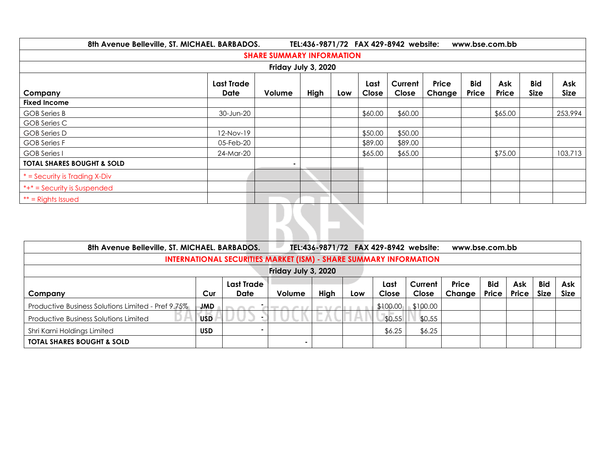|                                                                                                                                                                                           | 8th Avenue Belleville, ST. MICHAEL. BARBADOS.<br>TEL:436-9871/72 FAX 429-8942 website:<br>www.bse.com.bb |                                  |  |  |         |         |  |  |         |  |                    |  |
|-------------------------------------------------------------------------------------------------------------------------------------------------------------------------------------------|----------------------------------------------------------------------------------------------------------|----------------------------------|--|--|---------|---------|--|--|---------|--|--------------------|--|
|                                                                                                                                                                                           |                                                                                                          | <b>SHARE SUMMARY INFORMATION</b> |  |  |         |         |  |  |         |  |                    |  |
| Friday July 3, 2020                                                                                                                                                                       |                                                                                                          |                                  |  |  |         |         |  |  |         |  |                    |  |
| <b>Bid</b><br><b>Bid</b><br>Price<br>Current<br><b>Last Trade</b><br>Ask<br>Last<br>Price<br><b>Size</b><br>Date<br>Volume<br>High<br>Close<br>Close<br>Change<br>Price<br>Company<br>Low |                                                                                                          |                                  |  |  |         |         |  |  |         |  | Ask<br><b>Size</b> |  |
| <b>Fixed Income</b>                                                                                                                                                                       |                                                                                                          |                                  |  |  |         |         |  |  |         |  |                    |  |
| <b>GOB</b> Series B                                                                                                                                                                       | 30-Jun-20                                                                                                |                                  |  |  | \$60.00 | \$60.00 |  |  | \$65.00 |  | 253,994            |  |
| GOB Series C                                                                                                                                                                              |                                                                                                          |                                  |  |  |         |         |  |  |         |  |                    |  |
| GOB Series D                                                                                                                                                                              | $12-Nov-19$                                                                                              |                                  |  |  | \$50.00 | \$50.00 |  |  |         |  |                    |  |
| <b>GOB Series F</b>                                                                                                                                                                       | 05-Feb-20                                                                                                |                                  |  |  | \$89.00 | \$89.00 |  |  |         |  |                    |  |
| <b>GOB</b> Series I                                                                                                                                                                       | 24-Mar-20                                                                                                |                                  |  |  | \$65.00 | \$65.00 |  |  | \$75.00 |  | 103,713            |  |
| <b>TOTAL SHARES BOUGHT &amp; SOLD</b>                                                                                                                                                     |                                                                                                          | $\sim$                           |  |  |         |         |  |  |         |  |                    |  |
| $*$ = Security is Trading X-Div                                                                                                                                                           |                                                                                                          |                                  |  |  |         |         |  |  |         |  |                    |  |
| *+* = Security is Suspended                                                                                                                                                               |                                                                                                          |                                  |  |  |         |         |  |  |         |  |                    |  |
| $**$ = Rights Issued                                                                                                                                                                      |                                                                                                          |                                  |  |  |         |         |  |  |         |  |                    |  |
|                                                                                                                                                                                           |                                                                                                          |                                  |  |  |         |         |  |  |         |  |                    |  |

| 8th Avenue Belleville, ST. MICHAEL. BARBADOS.                            |            |            |                     |      |     |          | TEL:436-9871/72 FAX 429-8942 website: | www.bse.com.bb |            |       |             |             |
|--------------------------------------------------------------------------|------------|------------|---------------------|------|-----|----------|---------------------------------------|----------------|------------|-------|-------------|-------------|
| <b>INTERNATIONAL SECURITIES MARKET (ISM) - SHARE SUMMARY INFORMATION</b> |            |            |                     |      |     |          |                                       |                |            |       |             |             |
|                                                                          |            |            | Friday July 3, 2020 |      |     |          |                                       |                |            |       |             |             |
|                                                                          |            | Last Trade |                     |      |     | Last     | Current                               | <b>Price</b>   | <b>Bid</b> | Ask   | <b>Bid</b>  | Ask         |
| Company                                                                  | Cur        | Date       | Volume              | High | Low | Close    | Close                                 | Change         | Price      | Price | <b>Size</b> | <b>Size</b> |
| Productive Business Solutions Limited - Pref 9.75%                       | <b>JMD</b> |            |                     |      |     | \$100.00 | \$100.00                              |                |            |       |             |             |
| Productive Business Solutions Limited                                    | <b>USD</b> |            |                     |      |     | \$0.55   | \$0.55                                |                |            |       |             |             |
| Shri Karni Holdings Limited                                              | <b>USD</b> |            |                     |      |     | \$6.25   | \$6.25                                |                |            |       |             |             |
| <b>TOTAL SHARES BOUGHT &amp; SOLD</b>                                    |            |            |                     |      |     |          |                                       |                |            |       |             |             |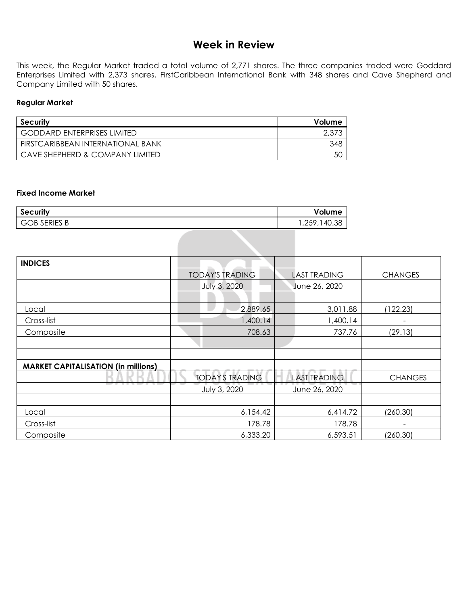## **Week in Review**

This week, the Regular Market traded a total volume of 2,771 shares. The three companies traded were Goddard Enterprises Limited with 2,373 shares, FirstCaribbean International Bank with 348 shares and Cave Shepherd and Company Limited with 50 shares.

#### **Regular Market**

| Security                           | Volume |
|------------------------------------|--------|
| <b>GODDARD ENTERPRISES LIMITED</b> |        |
| FIRSTCARIBBEAN INTERNATIONAL BANK  | 348    |
| CAVE SHEPHERD & COMPANY LIMITED    | 50     |

#### **Fixed Income Market**

| Security            | Volume       |
|---------------------|--------------|
| <b>GOB SERIES B</b> | 1,259,140.38 |

| <b>INDICES</b>                             |                        |  |                     |                |  |
|--------------------------------------------|------------------------|--|---------------------|----------------|--|
|                                            | <b>TODAY'S TRADING</b> |  | <b>LAST TRADING</b> | <b>CHANGES</b> |  |
|                                            | <b>July 3, 2020</b>    |  | June 26, 2020       |                |  |
|                                            |                        |  |                     |                |  |
| Local                                      | 2,889.65               |  | 3,011.88            | (122.23)       |  |
| Cross-list                                 | 1,400.14               |  | 1,400.14            | ۰              |  |
| Composite                                  | 708.63                 |  | 737.76              | (29.13)        |  |
|                                            |                        |  |                     |                |  |
|                                            |                        |  |                     |                |  |
| <b>MARKET CAPITALISATION (in millions)</b> |                        |  |                     |                |  |
|                                            | <b>TODAY'S TRADING</b> |  | <b>LAST TRADING</b> | <b>CHANGES</b> |  |
|                                            | July 3, 2020           |  | June 26, 2020       |                |  |
|                                            |                        |  |                     |                |  |
| Local                                      | 6,154.42               |  | 6,414.72            | (260.30)       |  |
| Cross-list                                 | 178.78                 |  | 178.78              |                |  |
| Composite                                  | 6,333.20               |  | 6,593.51            | (260.30)       |  |